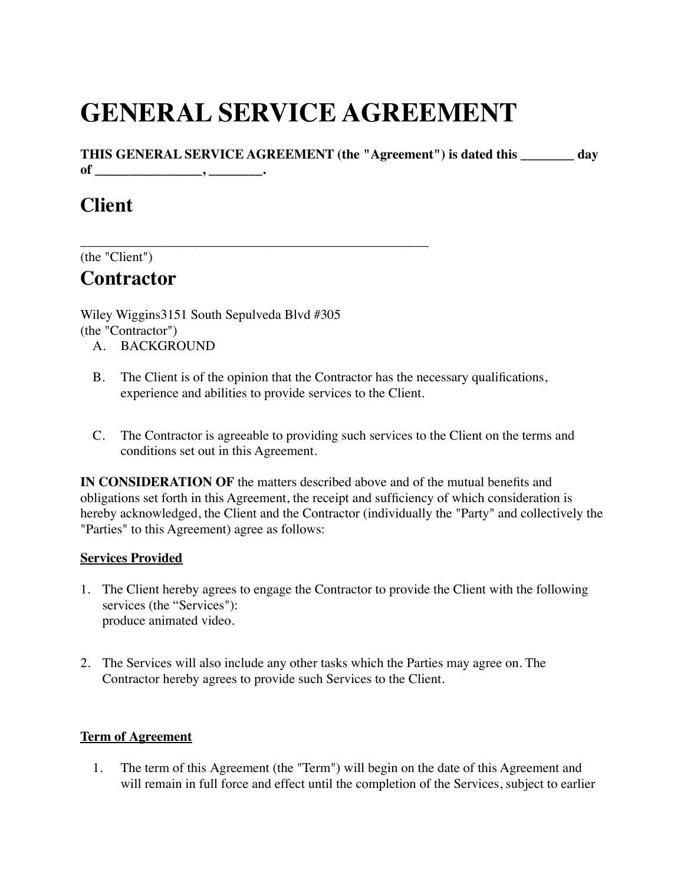# **GENERAL SERVICE AGREEMENT**

**THIS GENERAL SERVICE AGREEMENT (the "Agreement") is dated this \_\_\_\_\_\_\_\_ day of \_\_\_\_\_\_\_\_\_\_\_\_\_\_\_\_, \_\_\_\_\_\_\_\_.**

# **Client**

\_\_\_\_\_\_\_\_\_\_\_\_\_\_\_\_\_\_\_\_\_\_\_\_\_\_\_\_\_\_\_\_\_\_\_\_\_\_\_\_\_\_\_\_\_\_\_\_\_\_\_\_ (the "Client")

# **Contractor**

Wiley Wiggins3151 South Sepulveda Blvd #305 (the "Contractor")

- A. BACKGROUND
- B. The Client is of the opinion that the Contractor has the necessary qualifications, experience and abilities to provide services to the Client.
- C. The Contractor is agreeable to providing such services to the Client on the terms and conditions set out in this Agreement.

**IN CONSIDERATION OF** the matters described above and of the mutual benefits and obligations set forth in this Agreement, the receipt and sufficiency of which consideration is hereby acknowledged, the Client and the Contractor (individually the "Party" and collectively the "Parties" to this Agreement) agree as follows:

## **Services Provided**

- 1. The Client hereby agrees to engage the Contractor to provide the Client with the following services (the "Services"): produce animated video.
- 2. The Services will also include any other tasks which the Parties may agree on. The Contractor hereby agrees to provide such Services to the Client.

## **Term of Agreement**

1. The term of this Agreement (the "Term") will begin on the date of this Agreement and will remain in full force and effect until the completion of the Services, subject to earlier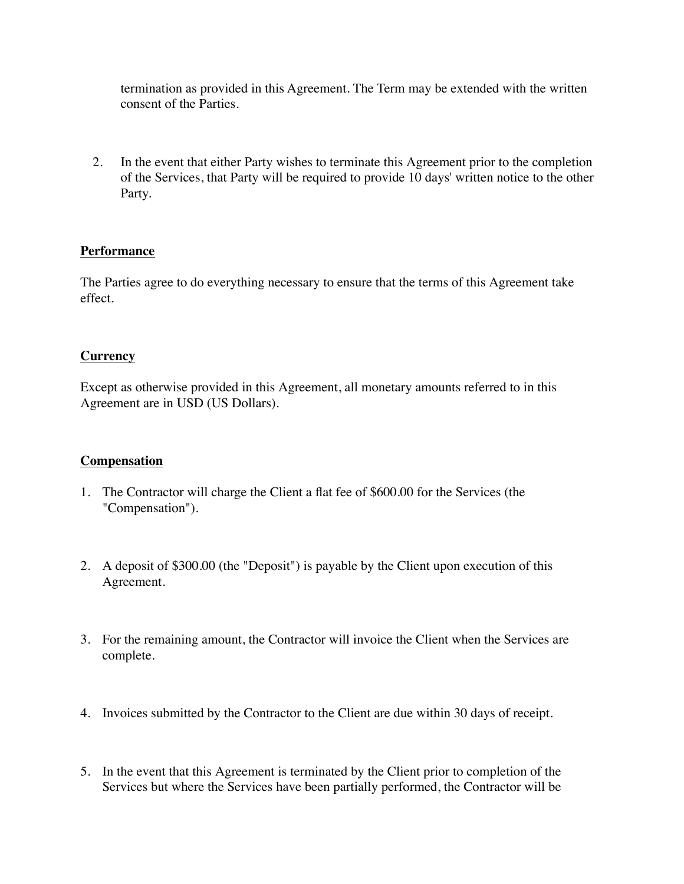termination as provided in this Agreement. The Term may be extended with the written consent of the Parties.

2. In the event that either Party wishes to terminate this Agreement prior to the completion of the Services, that Party will be required to provide 10 days' written notice to the other Party.

#### **Performance**

The Parties agree to do everything necessary to ensure that the terms of this Agreement take effect.

#### **Currency**

Except as otherwise provided in this Agreement, all monetary amounts referred to in this Agreement are in USD (US Dollars).

#### **Compensation**

- 1. The Contractor will charge the Client a flat fee of \$600.00 for the Services (the "Compensation").
- 2. A deposit of \$300.00 (the "Deposit") is payable by the Client upon execution of this Agreement.
- 3. For the remaining amount, the Contractor will invoice the Client when the Services are complete.
- 4. Invoices submitted by the Contractor to the Client are due within 30 days of receipt.
- 5. In the event that this Agreement is terminated by the Client prior to completion of the Services but where the Services have been partially performed, the Contractor will be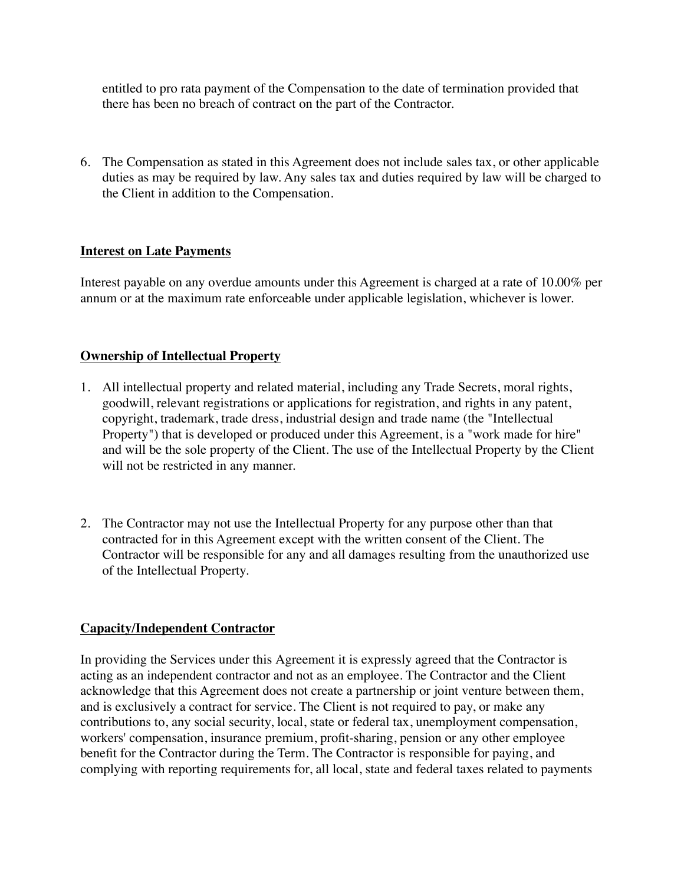entitled to pro rata payment of the Compensation to the date of termination provided that there has been no breach of contract on the part of the Contractor.

6. The Compensation as stated in this Agreement does not include sales tax, or other applicable duties as may be required by law. Any sales tax and duties required by law will be charged to the Client in addition to the Compensation.

#### **Interest on Late Payments**

Interest payable on any overdue amounts under this Agreement is charged at a rate of 10.00% per annum or at the maximum rate enforceable under applicable legislation, whichever is lower.

#### **Ownership of Intellectual Property**

- 1. All intellectual property and related material, including any Trade Secrets, moral rights, goodwill, relevant registrations or applications for registration, and rights in any patent, copyright, trademark, trade dress, industrial design and trade name (the "Intellectual Property") that is developed or produced under this Agreement, is a "work made for hire" and will be the sole property of the Client. The use of the Intellectual Property by the Client will not be restricted in any manner.
- 2. The Contractor may not use the Intellectual Property for any purpose other than that contracted for in this Agreement except with the written consent of the Client. The Contractor will be responsible for any and all damages resulting from the unauthorized use of the Intellectual Property.

#### **Capacity/Independent Contractor**

In providing the Services under this Agreement it is expressly agreed that the Contractor is acting as an independent contractor and not as an employee. The Contractor and the Client acknowledge that this Agreement does not create a partnership or joint venture between them, and is exclusively a contract for service. The Client is not required to pay, or make any contributions to, any social security, local, state or federal tax, unemployment compensation, workers' compensation, insurance premium, profit-sharing, pension or any other employee benefit for the Contractor during the Term. The Contractor is responsible for paying, and complying with reporting requirements for, all local, state and federal taxes related to payments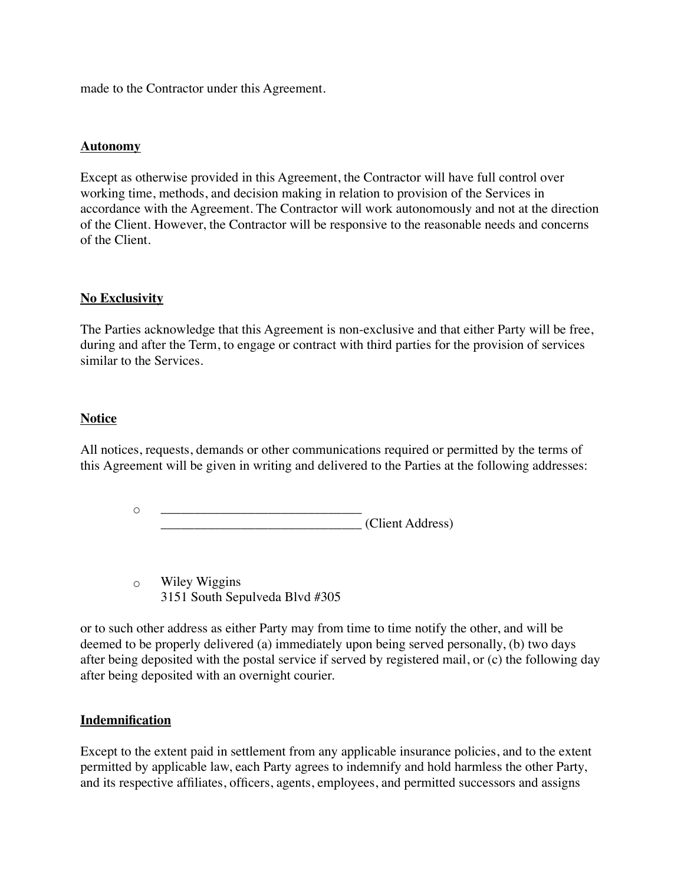made to the Contractor under this Agreement.

#### **Autonomy**

Except as otherwise provided in this Agreement, the Contractor will have full control over working time, methods, and decision making in relation to provision of the Services in accordance with the Agreement. The Contractor will work autonomously and not at the direction of the Client. However, the Contractor will be responsive to the reasonable needs and concerns of the Client.

#### **No Exclusivity**

The Parties acknowledge that this Agreement is non-exclusive and that either Party will be free, during and after the Term, to engage or contract with third parties for the provision of services similar to the Services.

#### **Notice**

All notices, requests, demands or other communications required or permitted by the terms of this Agreement will be given in writing and delivered to the Parties at the following addresses:

> ◦ \_\_\_\_\_\_\_\_\_\_\_\_\_\_\_\_\_\_\_\_\_\_\_\_\_\_\_\_\_\_ \_\_\_\_\_\_\_\_\_\_\_\_\_\_\_\_\_\_\_\_\_\_\_\_\_\_\_\_\_\_ (Client Address)

◦ Wiley Wiggins 3151 South Sepulveda Blvd #305

or to such other address as either Party may from time to time notify the other, and will be deemed to be properly delivered (a) immediately upon being served personally, (b) two days after being deposited with the postal service if served by registered mail, or (c) the following day after being deposited with an overnight courier.

#### **Indemnification**

Except to the extent paid in settlement from any applicable insurance policies, and to the extent permitted by applicable law, each Party agrees to indemnify and hold harmless the other Party, and its respective affiliates, officers, agents, employees, and permitted successors and assigns